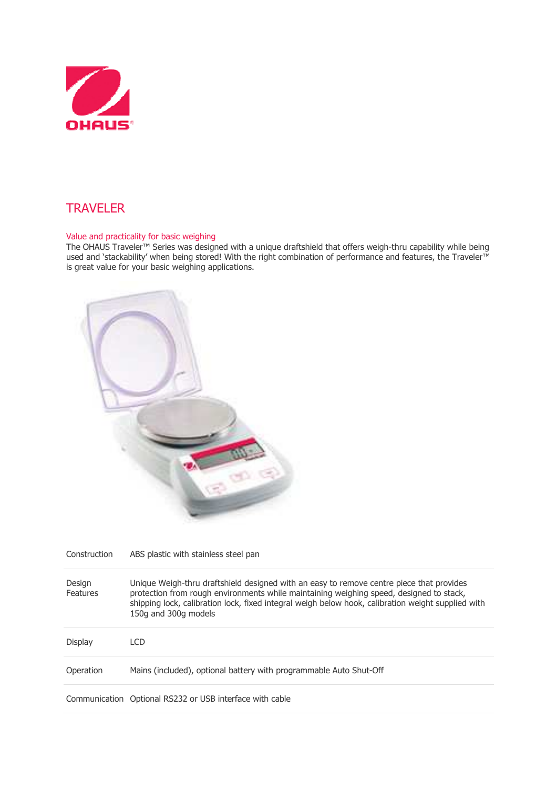

## TRAVELER

## Value and practicality for basic weighing

The OHAUS Traveler™ Series was designed with a unique draftshield that offers weigh-thru capability while being used and 'stackability' when being stored! With the right combination of performance and features, the Traveler™ is great value for your basic weighing applications.



| Construction       | ABS plastic with stainless steel pan                                                                                                                                                                                                                                                                              |
|--------------------|-------------------------------------------------------------------------------------------------------------------------------------------------------------------------------------------------------------------------------------------------------------------------------------------------------------------|
| Design<br>Features | Unique Weigh-thru draftshield designed with an easy to remove centre piece that provides<br>protection from rough environments while maintaining weighing speed, designed to stack,<br>shipping lock, calibration lock, fixed integral weigh below hook, calibration weight supplied with<br>150g and 300g models |
| Display            | LCD                                                                                                                                                                                                                                                                                                               |
| Operation          | Mains (included), optional battery with programmable Auto Shut-Off                                                                                                                                                                                                                                                |
|                    | Communication Optional RS232 or USB interface with cable                                                                                                                                                                                                                                                          |